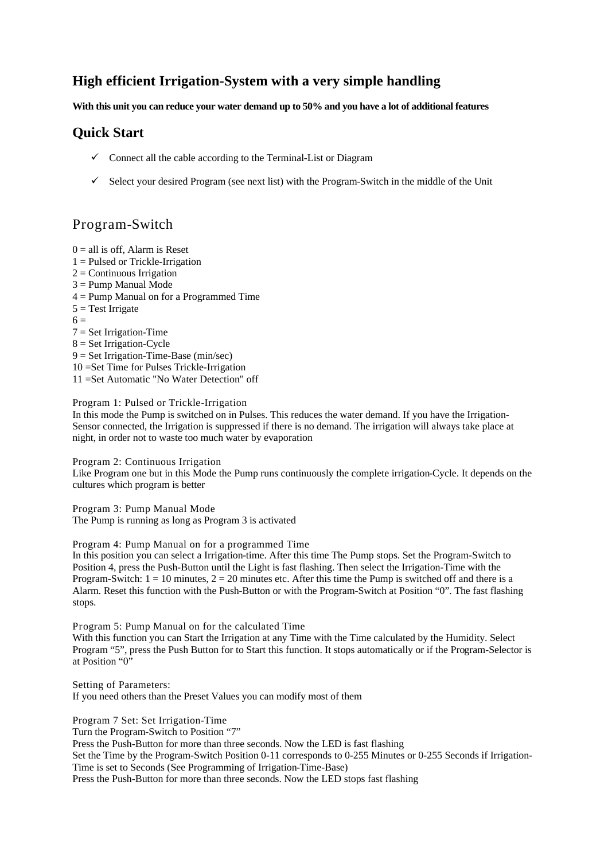## **High efficient Irrigation-System with a very simple handling**

**With this unit you can reduce your water demand up to 50% and you have a lot of additional features**

### **Quick Start**

- $\checkmark$  Connect all the cable according to the Terminal-List or Diagram
- $\checkmark$  Select your desired Program (see next list) with the Program-Switch in the middle of the Unit

# Program-Switch

 $0 =$  all is off. Alarm is Reset  $1 =$  Pulsed or Trickle-Irrigation  $2 =$  Continuous Irrigation 3 = Pump Manual Mode 4 = Pump Manual on for a Programmed Time  $5 = Test$  Irrigate  $6 =$  $7 = Set Irrigation-Time$  $8 =$  Set Irrigation-Cycle 9 = Set Irrigation-Time-Base (min/sec) 10 =Set Time for Pulses Trickle-Irrigation 11 =Set Automatic "No Water Detection" off

#### Program 1: Pulsed or Trickle-Irrigation

In this mode the Pump is switched on in Pulses. This reduces the water demand. If you have the Irrigation-Sensor connected, the Irrigation is suppressed if there is no demand. The irrigation will always take place at night, in order not to waste too much water by evaporation

Program 2: Continuous Irrigation

Like Program one but in this Mode the Pump runs continuously the complete irrigation-Cycle. It depends on the cultures which program is better

Program 3: Pump Manual Mode The Pump is running as long as Program 3 is activated

Program 4: Pump Manual on for a programmed Time

In this position you can select a Irrigation-time. After this time The Pump stops. Set the Program-Switch to Position 4, press the Push-Button until the Light is fast flashing. Then select the Irrigation-Time with the Program-Switch:  $1 = 10$  minutes,  $2 = 20$  minutes etc. After this time the Pump is switched off and there is a Alarm. Reset this function with the Push-Button or with the Program-Switch at Position "0". The fast flashing stops.

Program 5: Pump Manual on for the calculated Time

With this function you can Start the Irrigation at any Time with the Time calculated by the Humidity. Select Program "5", press the Push Button for to Start this function. It stops automatically or if the Program-Selector is at Position "0"

Setting of Parameters: If you need others than the Preset Values you can modify most of them

Program 7 Set: Set Irrigation-Time

Turn the Program-Switch to Position "7"

Press the Push-Button for more than three seconds. Now the LED is fast flashing

Set the Time by the Program-Switch Position 0-11 corresponds to 0-255 Minutes or 0-255 Seconds if Irrigation-Time is set to Seconds (See Programming of Irrigation-Time-Base)

Press the Push-Button for more than three seconds. Now the LED stops fast flashing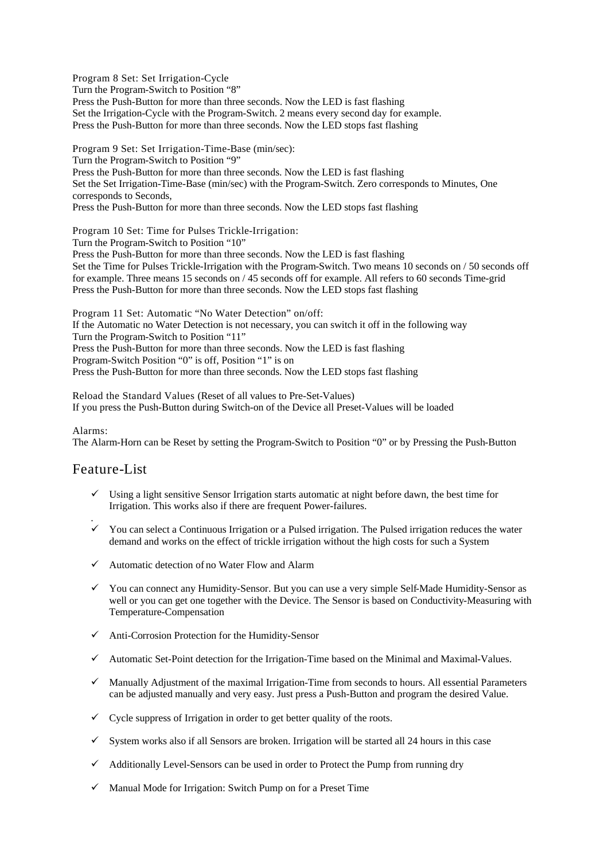Program 8 Set: Set Irrigation-Cycle Turn the Program-Switch to Position "8" Press the Push-Button for more than three seconds. Now the LED is fast flashing Set the Irrigation-Cycle with the Program-Switch. 2 means every second day for example. Press the Push-Button for more than three seconds. Now the LED stops fast flashing

Program 9 Set: Set Irrigation-Time-Base (min/sec): Turn the Program-Switch to Position "9" Press the Push-Button for more than three seconds. Now the LED is fast flashing Set the Set Irrigation-Time-Base (min/sec) with the Program-Switch. Zero corresponds to Minutes, One corresponds to Seconds, Press the Push-Button for more than three seconds. Now the LED stops fast flashing

Program 10 Set: Time for Pulses Trickle-Irrigation: Turn the Program-Switch to Position "10" Press the Push-Button for more than three seconds. Now the LED is fast flashing Set the Time for Pulses Trickle-Irrigation with the Program-Switch. Two means 10 seconds on / 50 seconds off for example. Three means 15 seconds on / 45 seconds off for example. All refers to 60 seconds Time-grid Press the Push-Button for more than three seconds. Now the LED stops fast flashing

Program 11 Set: Automatic "No Water Detection" on/off: If the Automatic no Water Detection is not necessary, you can switch it off in the following way Turn the Program-Switch to Position "11" Press the Push-Button for more than three seconds. Now the LED is fast flashing Program-Switch Position "0" is off, Position "1" is on Press the Push-Button for more than three seconds. Now the LED stops fast flashing

Reload the Standard Values (Reset of all values to Pre-Set-Values) If you press the Push-Button during Switch-on of the Device all Preset-Values will be loaded

Alarms:

The Alarm-Horn can be Reset by setting the Program-Switch to Position "0" or by Pressing the Push-Button

#### Feature-List

- $\checkmark$  Using a light sensitive Sensor Irrigation starts automatic at night before dawn, the best time for Irrigation. This works also if there are frequent Power-failures.
- .  $\checkmark$  You can select a Continuous Irrigation or a Pulsed irrigation. The Pulsed irrigation reduces the water demand and works on the effect of trickle irrigation without the high costs for such a System
- $\checkmark$  Automatic detection of no Water Flow and Alarm
- 9 You can connect any Humidity-Sensor. But you can use a very simple Self-Made Humidity-Sensor as well or you can get one together with the Device. The Sensor is based on Conductivity-Measuring with Temperature-Compensation
- $\checkmark$  Anti-Corrosion Protection for the Humidity-Sensor
- $\checkmark$  Automatic Set-Point detection for the Irrigation-Time based on the Minimal and Maximal-Values.
- $\checkmark$  Manually Adjustment of the maximal Irrigation-Time from seconds to hours. All essential Parameters can be adjusted manually and very easy. Just press a Push-Button and program the desired Value.
- $\checkmark$  Cycle suppress of Irrigation in order to get better quality of the roots.
- $\checkmark$  System works also if all Sensors are broken. Irrigation will be started all 24 hours in this case
- $\checkmark$  Additionally Level-Sensors can be used in order to Protect the Pump from running dry
- $\checkmark$  Manual Mode for Irrigation: Switch Pump on for a Preset Time